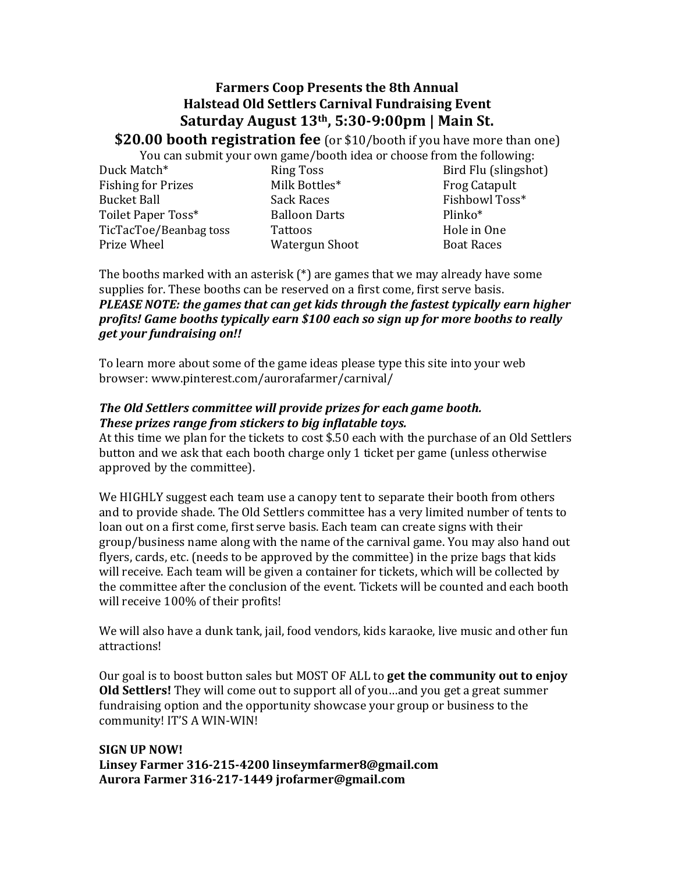## **Farmers Coop Presents the 8th Annual Halstead Old Settlers Carnival Fundraising Event Saturday August 13th, 5:30-9:00pm | Main St.**

**\$20.00 booth registration fee** (or \$10/booth if you have more than one)

You can submit your own game/booth idea or choose from the following:

Duck Match\* Fishing for Prizes **Bucket Ball** Toilet Paper Toss\* TicTacToe/Beanbag toss Prize Wheel

Ring Toss Milk Bottles\* Sack Races Balloon Darts Tattoos Watergun Shoot

Bird Flu (slingshot) Frog Catapult Fishbowl Toss\* Plinko\* Hole in One Boat Races

The booths marked with an asterisk  $(*)$  are games that we may already have some supplies for. These booths can be reserved on a first come, first serve basis. *PLEASE NOTE: the games that can get kids through the fastest typically earn higher profits! Game booths typically earn \$100 each so sign up for more booths to really get your fundraising on!!* 

To learn more about some of the game ideas please type this site into your web browser: www.pinterest.com/aurorafarmer/carnival/ 

## The Old Settlers committee will provide prizes for each game booth. These prizes range from stickers to big inflatable toys.

At this time we plan for the tickets to cost \$.50 each with the purchase of an Old Settlers button and we ask that each booth charge only 1 ticket per game (unless otherwise approved by the committee).

We HIGHLY suggest each team use a canopy tent to separate their booth from others and to provide shade. The Old Settlers committee has a very limited number of tents to loan out on a first come, first serve basis. Each team can create signs with their group/business name along with the name of the carnival game. You may also hand out flyers, cards, etc. (needs to be approved by the committee) in the prize bags that kids will receive. Each team will be given a container for tickets, which will be collected by the committee after the conclusion of the event. Tickets will be counted and each booth will receive 100% of their profits!

We will also have a dunk tank, jail, food vendors, kids karaoke, live music and other fun attractions!

Our goal is to boost button sales but MOST OF ALL to **get the community out to enjoy Old Settlers!** They will come out to support all of you ... and you get a great summer fundraising option and the opportunity showcase your group or business to the community! IT'S A WIN-WIN!

**SIGN UP NOW! Linsey Farmer 316-215-4200 linseymfarmer8@gmail.com Aurora Farmer 316-217-1449 jrofarmer@gmail.com**